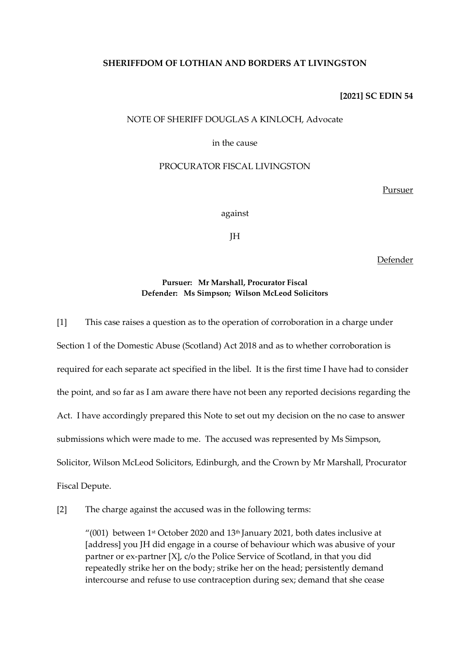# **SHERIFFDOM OF LOTHIAN AND BORDERS AT LIVINGSTON**

### **[2021] SC EDIN 54**

### NOTE OF SHERIFF DOUGLAS A KINLOCH, Advocate

# in the cause

# PROCURATOR FISCAL LIVINGSTON

Pursuer

#### against

JH

Defender

# **Pursuer: Mr Marshall, Procurator Fiscal Defender: Ms Simpson; Wilson McLeod Solicitors**

[1] This case raises a question as to the operation of corroboration in a charge under Section 1 of the Domestic Abuse (Scotland) Act 2018 and as to whether corroboration is required for each separate act specified in the libel. It is the first time I have had to consider the point, and so far as I am aware there have not been any reported decisions regarding the Act. I have accordingly prepared this Note to set out my decision on the no case to answer submissions which were made to me. The accused was represented by Ms Simpson, Solicitor, Wilson McLeod Solicitors, Edinburgh, and the Crown by Mr Marshall, Procurator Fiscal Depute.

[2] The charge against the accused was in the following terms:

"(001) between 1<sup>st</sup> October 2020 and 13<sup>th</sup> January 2021, both dates inclusive at [address] you JH did engage in a course of behaviour which was abusive of your partner or ex-partner [X], c/o the Police Service of Scotland, in that you did repeatedly strike her on the body; strike her on the head; persistently demand intercourse and refuse to use contraception during sex; demand that she cease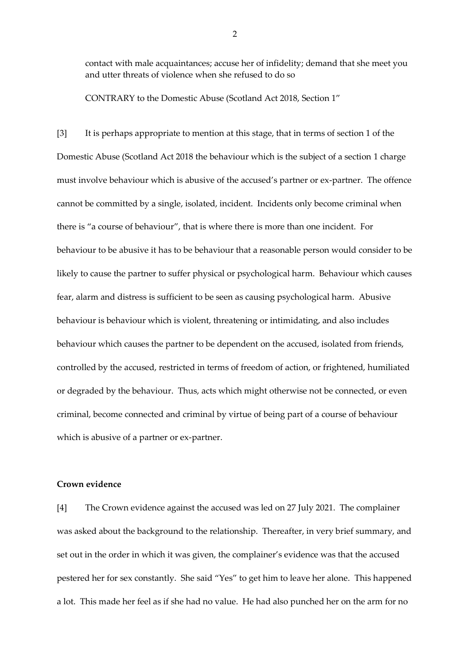contact with male acquaintances; accuse her of infidelity; demand that she meet you and utter threats of violence when she refused to do so

CONTRARY to the Domestic Abuse (Scotland Act 2018, Section 1"

[3] It is perhaps appropriate to mention at this stage, that in terms of section 1 of the Domestic Abuse (Scotland Act 2018 the behaviour which is the subject of a section 1 charge must involve behaviour which is abusive of the accused's partner or ex-partner. The offence cannot be committed by a single, isolated, incident. Incidents only become criminal when there is "a course of behaviour", that is where there is more than one incident. For behaviour to be abusive it has to be behaviour that a reasonable person would consider to be likely to cause the partner to suffer physical or psychological harm. Behaviour which causes fear, alarm and distress is sufficient to be seen as causing psychological harm. Abusive behaviour is behaviour which is violent, threatening or intimidating, and also includes behaviour which causes the partner to be dependent on the accused, isolated from friends, controlled by the accused, restricted in terms of freedom of action, or frightened, humiliated or degraded by the behaviour. Thus, acts which might otherwise not be connected, or even criminal, become connected and criminal by virtue of being part of a course of behaviour which is abusive of a partner or ex-partner.

# **Crown evidence**

[4] The Crown evidence against the accused was led on 27 July 2021. The complainer was asked about the background to the relationship. Thereafter, in very brief summary, and set out in the order in which it was given, the complainer's evidence was that the accused pestered her for sex constantly. She said "Yes" to get him to leave her alone. This happened a lot. This made her feel as if she had no value. He had also punched her on the arm for no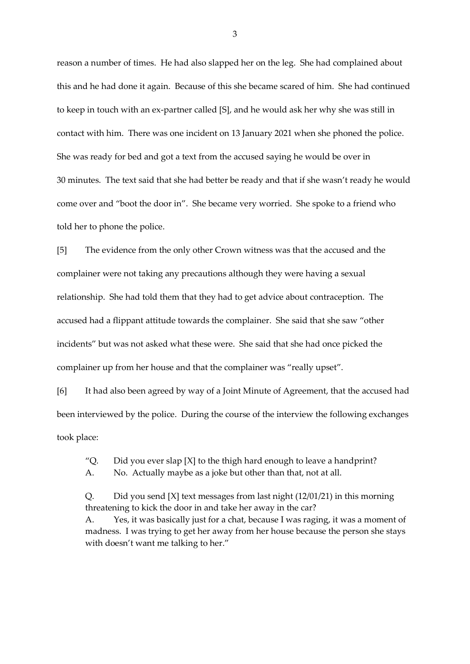reason a number of times. He had also slapped her on the leg. She had complained about this and he had done it again. Because of this she became scared of him. She had continued to keep in touch with an ex-partner called [S], and he would ask her why she was still in contact with him. There was one incident on 13 January 2021 when she phoned the police. She was ready for bed and got a text from the accused saying he would be over in 30 minutes. The text said that she had better be ready and that if she wasn't ready he would come over and "boot the door in". She became very worried. She spoke to a friend who told her to phone the police.

[5] The evidence from the only other Crown witness was that the accused and the complainer were not taking any precautions although they were having a sexual relationship. She had told them that they had to get advice about contraception. The accused had a flippant attitude towards the complainer. She said that she saw "other incidents" but was not asked what these were. She said that she had once picked the complainer up from her house and that the complainer was "really upset".

[6] It had also been agreed by way of a Joint Minute of Agreement, that the accused had been interviewed by the police. During the course of the interview the following exchanges took place:

"Q. Did you ever slap  $[X]$  to the thigh hard enough to leave a handprint?

A. No. Actually maybe as a joke but other than that, not at all.

Q. Did you send [X] text messages from last night (12/01/21) in this morning threatening to kick the door in and take her away in the car? A. Yes, it was basically just for a chat, because I was raging, it was a moment of madness. I was trying to get her away from her house because the person she stays with doesn't want me talking to her."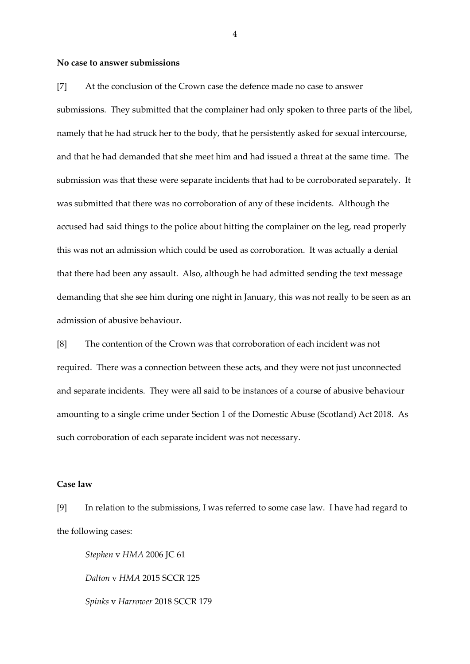#### **No case to answer submissions**

[7] At the conclusion of the Crown case the defence made no case to answer submissions. They submitted that the complainer had only spoken to three parts of the libel, namely that he had struck her to the body, that he persistently asked for sexual intercourse, and that he had demanded that she meet him and had issued a threat at the same time. The submission was that these were separate incidents that had to be corroborated separately. It was submitted that there was no corroboration of any of these incidents. Although the accused had said things to the police about hitting the complainer on the leg, read properly this was not an admission which could be used as corroboration. It was actually a denial that there had been any assault. Also, although he had admitted sending the text message demanding that she see him during one night in January, this was not really to be seen as an admission of abusive behaviour.

[8] The contention of the Crown was that corroboration of each incident was not required. There was a connection between these acts, and they were not just unconnected and separate incidents. They were all said to be instances of a course of abusive behaviour amounting to a single crime under Section 1 of the Domestic Abuse (Scotland) Act 2018. As such corroboration of each separate incident was not necessary.

# **Case law**

[9] In relation to the submissions, I was referred to some case law. I have had regard to the following cases:

*Stephen* v *HMA* 2006 JC 61 *Dalton* v *HMA* 2015 SCCR 125 *Spinks* v *Harrower* 2018 SCCR 179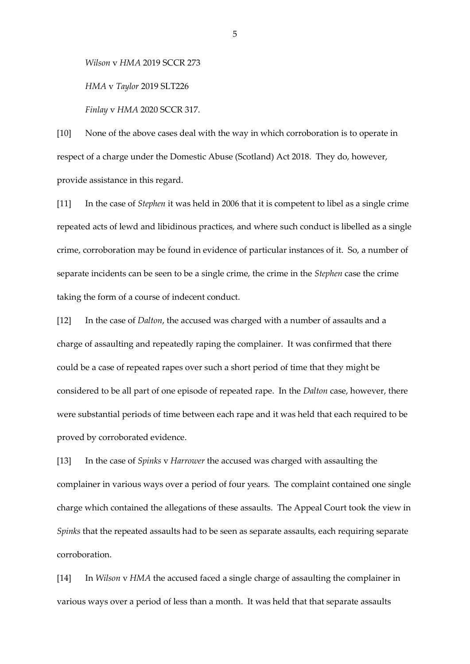*Wilson* v *HMA* 2019 SCCR 273

*HMA* v *Taylor* 2019 SLT226

*Finlay* v *HMA* 2020 SCCR 317.

[10] None of the above cases deal with the way in which corroboration is to operate in respect of a charge under the Domestic Abuse (Scotland) Act 2018. They do, however, provide assistance in this regard.

[11] In the case of *Stephen* it was held in 2006 that it is competent to libel as a single crime repeated acts of lewd and libidinous practices, and where such conduct is libelled as a single crime, corroboration may be found in evidence of particular instances of it. So, a number of separate incidents can be seen to be a single crime, the crime in the *Stephen* case the crime taking the form of a course of indecent conduct.

[12] In the case of *Dalton*, the accused was charged with a number of assaults and a charge of assaulting and repeatedly raping the complainer. It was confirmed that there could be a case of repeated rapes over such a short period of time that they might be considered to be all part of one episode of repeated rape. In the *Dalton* case, however, there were substantial periods of time between each rape and it was held that each required to be proved by corroborated evidence.

[13] In the case of *Spinks* v *Harrower* the accused was charged with assaulting the complainer in various ways over a period of four years. The complaint contained one single charge which contained the allegations of these assaults. The Appeal Court took the view in *Spinks* that the repeated assaults had to be seen as separate assaults, each requiring separate corroboration.

[14] In *Wilson* v *HMA* the accused faced a single charge of assaulting the complainer in various ways over a period of less than a month. It was held that that separate assaults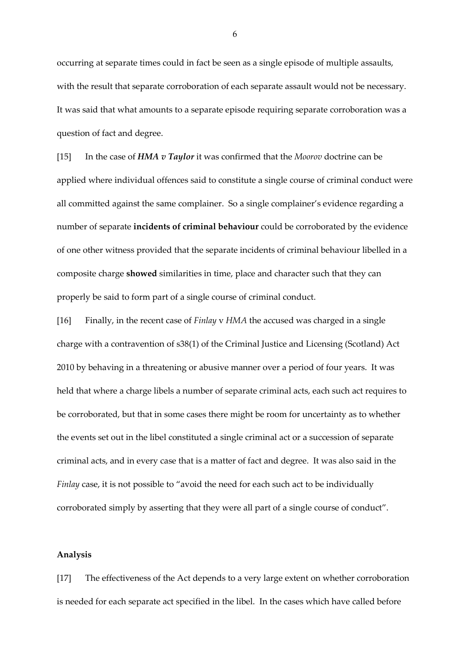occurring at separate times could in fact be seen as a single episode of multiple assaults, with the result that separate corroboration of each separate assault would not be necessary. It was said that what amounts to a separate episode requiring separate corroboration was a question of fact and degree.

[15] In the case of *HMA v Taylor* it was confirmed that the *Moorov* doctrine can be applied where individual offences said to constitute a single course of criminal conduct were all committed against the same complainer. So a single complainer's evidence regarding a number of separate **incidents of criminal behaviour** could be corroborated by the evidence of one other witness provided that the separate incidents of criminal behaviour libelled in a composite charge **showed** similarities in time, place and character such that they can properly be said to form part of a single course of criminal conduct.

[16] Finally, in the recent case of *Finlay* v *HMA* the accused was charged in a single charge with a contravention of s38(1) of the Criminal Justice and Licensing (Scotland) Act 2010 by behaving in a threatening or abusive manner over a period of four years. It was held that where a charge libels a number of separate criminal acts, each such act requires to be corroborated, but that in some cases there might be room for uncertainty as to whether the events set out in the libel constituted a single criminal act or a succession of separate criminal acts, and in every case that is a matter of fact and degree. It was also said in the *Finlay* case, it is not possible to "avoid the need for each such act to be individually corroborated simply by asserting that they were all part of a single course of conduct".

#### **Analysis**

[17] The effectiveness of the Act depends to a very large extent on whether corroboration is needed for each separate act specified in the libel.In the cases which have called before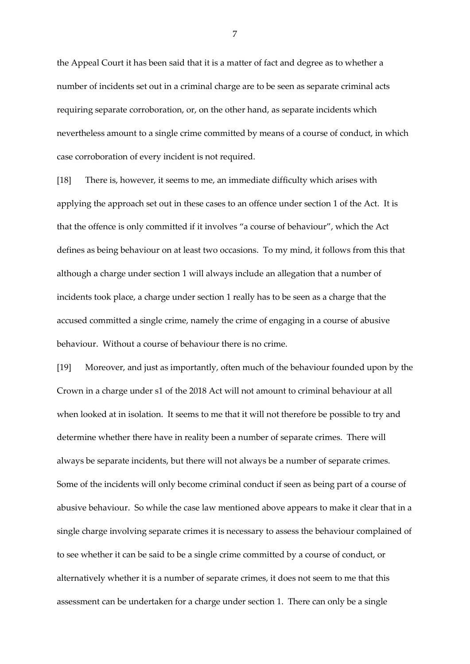the Appeal Court it has been said that it is a matter of fact and degree as to whether a number of incidents set out in a criminal charge are to be seen as separate criminal acts requiring separate corroboration, or, on the other hand, as separate incidents which nevertheless amount to a single crime committed by means of a course of conduct, in which case corroboration of every incident is not required.

[18] There is, however, it seems to me, an immediate difficulty which arises with applying the approach set out in these cases to an offence under section 1 of the Act. It is that the offence is only committed if it involves "a course of behaviour", which the Act defines as being behaviour on at least two occasions. To my mind, it follows from this that although a charge under section 1 will always include an allegation that a number of incidents took place, a charge under section 1 really has to be seen as a charge that the accused committed a single crime, namely the crime of engaging in a course of abusive behaviour. Without a course of behaviour there is no crime.

[19] Moreover, and just as importantly, often much of the behaviour founded upon by the Crown in a charge under s1 of the 2018 Act will not amount to criminal behaviour at all when looked at in isolation. It seems to me that it will not therefore be possible to try and determine whether there have in reality been a number of separate crimes. There will always be separate incidents, but there will not always be a number of separate crimes. Some of the incidents will only become criminal conduct if seen as being part of a course of abusive behaviour. So while the case law mentioned above appears to make it clear that in a single charge involving separate crimes it is necessary to assess the behaviour complained of to see whether it can be said to be a single crime committed by a course of conduct, or alternatively whether it is a number of separate crimes, it does not seem to me that this assessment can be undertaken for a charge under section 1. There can only be a single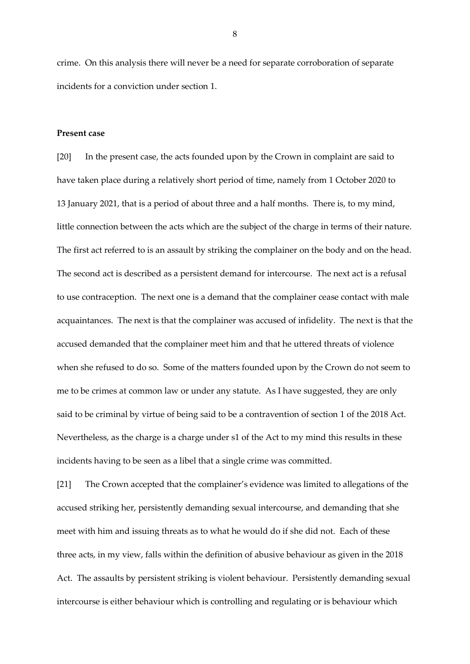crime. On this analysis there will never be a need for separate corroboration of separate incidents for a conviction under section 1.

### **Present case**

[20] In the present case, the acts founded upon by the Crown in complaint are said to have taken place during a relatively short period of time, namely from 1 October 2020 to 13 January 2021, that is a period of about three and a half months. There is, to my mind, little connection between the acts which are the subject of the charge in terms of their nature. The first act referred to is an assault by striking the complainer on the body and on the head. The second act is described as a persistent demand for intercourse. The next act is a refusal to use contraception. The next one is a demand that the complainer cease contact with male acquaintances. The next is that the complainer was accused of infidelity. The next is that the accused demanded that the complainer meet him and that he uttered threats of violence when she refused to do so. Some of the matters founded upon by the Crown do not seem to me to be crimes at common law or under any statute. As I have suggested, they are only said to be criminal by virtue of being said to be a contravention of section 1 of the 2018 Act. Nevertheless, as the charge is a charge under s1 of the Act to my mind this results in these incidents having to be seen as a libel that a single crime was committed.

[21] The Crown accepted that the complainer's evidence was limited to allegations of the accused striking her, persistently demanding sexual intercourse, and demanding that she meet with him and issuing threats as to what he would do if she did not. Each of these three acts, in my view, falls within the definition of abusive behaviour as given in the 2018 Act. The assaults by persistent striking is violent behaviour. Persistently demanding sexual intercourse is either behaviour which is controlling and regulating or is behaviour which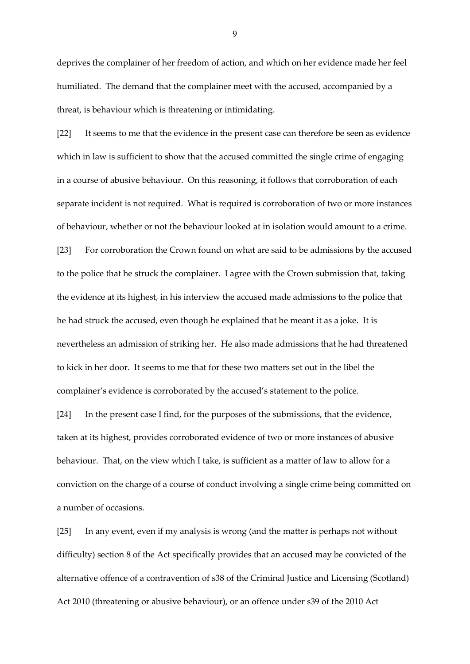deprives the complainer of her freedom of action, and which on her evidence made her feel humiliated. The demand that the complainer meet with the accused, accompanied by a threat, is behaviour which is threatening or intimidating.

[22] It seems to me that the evidence in the present case can therefore be seen as evidence which in law is sufficient to show that the accused committed the single crime of engaging in a course of abusive behaviour. On this reasoning, it follows that corroboration of each separate incident is not required. What is required is corroboration of two or more instances of behaviour, whether or not the behaviour looked at in isolation would amount to a crime.

[23] For corroboration the Crown found on what are said to be admissions by the accused to the police that he struck the complainer. I agree with the Crown submission that, taking the evidence at its highest, in his interview the accused made admissions to the police that he had struck the accused, even though he explained that he meant it as a joke. It is nevertheless an admission of striking her. He also made admissions that he had threatened to kick in her door. It seems to me that for these two matters set out in the libel the complainer's evidence is corroborated by the accused's statement to the police.

[24] In the present case I find, for the purposes of the submissions, that the evidence, taken at its highest, provides corroborated evidence of two or more instances of abusive behaviour. That, on the view which I take, is sufficient as a matter of law to allow for a conviction on the charge of a course of conduct involving a single crime being committed on a number of occasions.

[25] In any event, even if my analysis is wrong (and the matter is perhaps not without difficulty) section 8 of the Act specifically provides that an accused may be convicted of the alternative offence of a contravention of s38 of the Criminal Justice and Licensing (Scotland) Act 2010 (threatening or abusive behaviour), or an offence under s39 of the 2010 Act